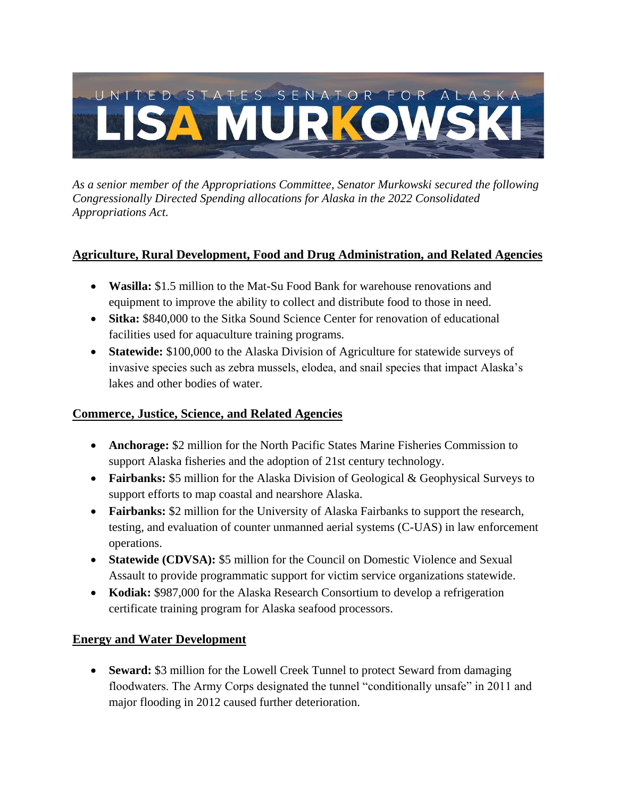# UNITED STATES SENATOR FOR ALASKA **ISA MURKOV**

*As a senior member of the Appropriations Committee, Senator Murkowski secured the following Congressionally Directed Spending allocations for Alaska in the 2022 Consolidated Appropriations Act.*

## **Agriculture, Rural Development, Food and Drug Administration, and Related Agencies**

- **Wasilla:** \$1.5 million to the Mat-Su Food Bank for warehouse renovations and equipment to improve the ability to collect and distribute food to those in need.
- **Sitka:** \$840,000 to the Sitka Sound Science Center for renovation of educational facilities used for aquaculture training programs.
- **Statewide:** \$100,000 to the Alaska Division of Agriculture for statewide surveys of invasive species such as zebra mussels, elodea, and snail species that impact Alaska's lakes and other bodies of water.

### **Commerce, Justice, Science, and Related Agencies**

- **Anchorage:** \$2 million for the North Pacific States Marine Fisheries Commission to support Alaska fisheries and the adoption of 21st century technology.
- **Fairbanks:** \$5 million for the Alaska Division of Geological & Geophysical Surveys to support efforts to map coastal and nearshore Alaska.
- **Fairbanks:** \$2 million for the University of Alaska Fairbanks to support the research, testing, and evaluation of counter unmanned aerial systems (C-UAS) in law enforcement operations.
- **Statewide (CDVSA):** \$5 million for the Council on Domestic Violence and Sexual Assault to provide programmatic support for victim service organizations statewide.
- **Kodiak:** \$987,000 for the Alaska Research Consortium to develop a refrigeration certificate training program for Alaska seafood processors.

### **Energy and Water Development**

• **Seward:** \$3 million for the Lowell Creek Tunnel to protect Seward from damaging floodwaters. The Army Corps designated the tunnel "conditionally unsafe" in 2011 and major flooding in 2012 caused further deterioration.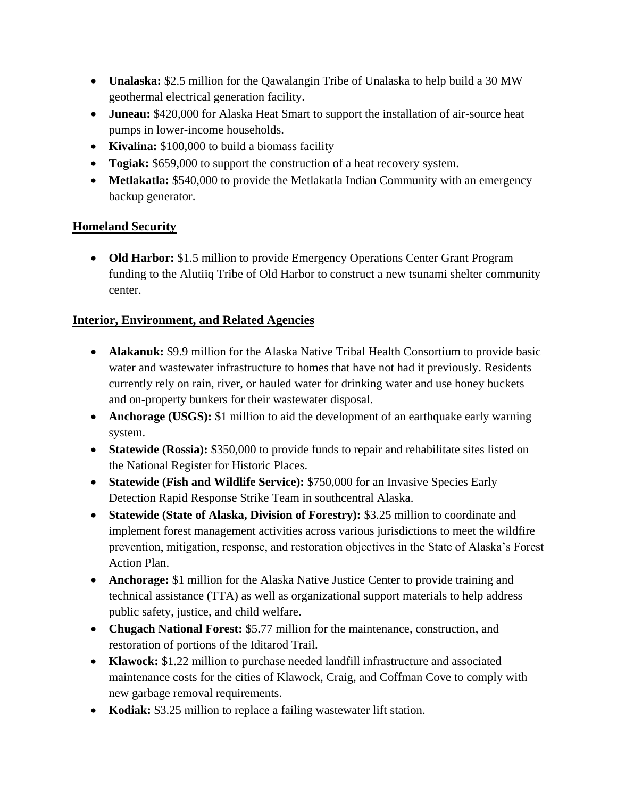- **Unalaska:** \$2.5 million for the Qawalangin Tribe of Unalaska to help build a 30 MW geothermal electrical generation facility.
- **Juneau:** \$420,000 for Alaska Heat Smart to support the installation of air-source heat pumps in lower-income households.
- **Kivalina:** \$100,000 to build a biomass facility
- **Togiak:** \$659,000 to support the construction of a heat recovery system.
- **Metlakatla:** \$540,000 to provide the Metlakatla Indian Community with an emergency backup generator.

### **Homeland Security**

• **Old Harbor:** \$1.5 million to provide Emergency Operations Center Grant Program funding to the Alutiiq Tribe of Old Harbor to construct a new tsunami shelter community center.

## **Interior, Environment, and Related Agencies**

- **Alakanuk:** \$9.9 million for the Alaska Native Tribal Health Consortium to provide basic water and wastewater infrastructure to homes that have not had it previously. Residents currently rely on rain, river, or hauled water for drinking water and use honey buckets and on-property bunkers for their wastewater disposal.
- **Anchorage (USGS):** \$1 million to aid the development of an earthquake early warning system.
- **Statewide (Rossia):** \$350,000 to provide funds to repair and rehabilitate sites listed on the National Register for Historic Places.
- **Statewide (Fish and Wildlife Service):** \$750,000 for an Invasive Species Early Detection Rapid Response Strike Team in southcentral Alaska.
- **Statewide (State of Alaska, Division of Forestry):** \$3.25 million to coordinate and implement forest management activities across various jurisdictions to meet the wildfire prevention, mitigation, response, and restoration objectives in the State of Alaska's Forest Action Plan.
- **Anchorage:** \$1 million for the Alaska Native Justice Center to provide training and technical assistance (TTA) as well as organizational support materials to help address public safety, justice, and child welfare.
- **Chugach National Forest:** \$5.77 million for the maintenance, construction, and restoration of portions of the Iditarod Trail.
- **Klawock:** \$1.22 million to purchase needed landfill infrastructure and associated maintenance costs for the cities of Klawock, Craig, and Coffman Cove to comply with new garbage removal requirements.
- **Kodiak:** \$3.25 million to replace a failing wastewater lift station.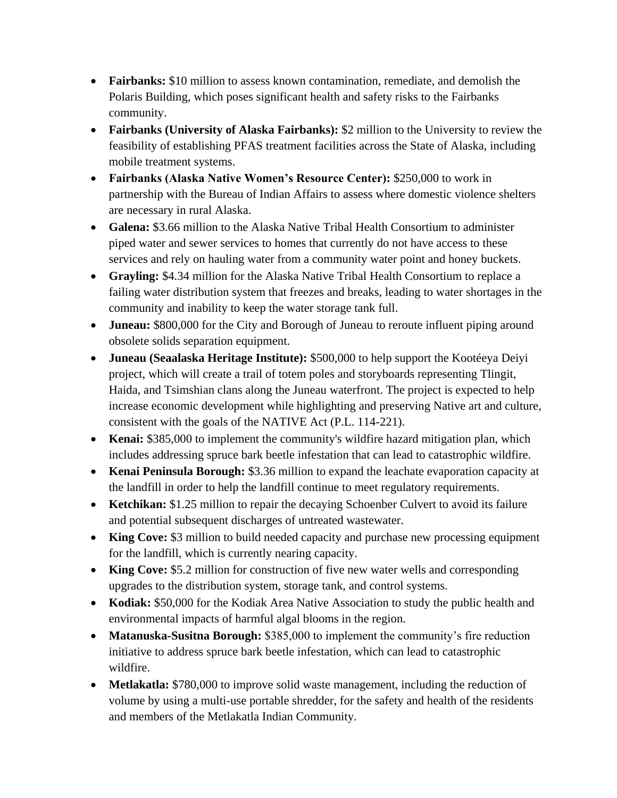- **Fairbanks:** \$10 million to assess known contamination, remediate, and demolish the Polaris Building, which poses significant health and safety risks to the Fairbanks community.
- **Fairbanks (University of Alaska Fairbanks):** \$2 million to the University to review the feasibility of establishing PFAS treatment facilities across the State of Alaska, including mobile treatment systems.
- **Fairbanks (Alaska Native Women's Resource Center):** \$250,000 to work in partnership with the Bureau of Indian Affairs to assess where domestic violence shelters are necessary in rural Alaska.
- **Galena:** \$3.66 million to the Alaska Native Tribal Health Consortium to administer piped water and sewer services to homes that currently do not have access to these services and rely on hauling water from a community water point and honey buckets.
- **Grayling:** \$4.34 million for the Alaska Native Tribal Health Consortium to replace a failing water distribution system that freezes and breaks, leading to water shortages in the community and inability to keep the water storage tank full.
- **Juneau:** \$800,000 for the City and Borough of Juneau to reroute influent piping around obsolete solids separation equipment.
- **Juneau (Seaalaska Heritage Institute):** \$500,000 to help support the Kootéeya Deiyi project, which will create a trail of totem poles and storyboards representing Tlingit, Haida, and Tsimshian clans along the Juneau waterfront. The project is expected to help increase economic development while highlighting and preserving Native art and culture, consistent with the goals of the NATIVE Act (P.L. 114-221).
- **Kenai:** \$385,000 to implement the community's wildfire hazard mitigation plan, which includes addressing spruce bark beetle infestation that can lead to catastrophic wildfire.
- **Kenai Peninsula Borough:** \$3.36 million to expand the leachate evaporation capacity at the landfill in order to help the landfill continue to meet regulatory requirements.
- **Ketchikan:** \$1.25 million to repair the decaying Schoenber Culvert to avoid its failure and potential subsequent discharges of untreated wastewater.
- **King Cove:** \$3 million to build needed capacity and purchase new processing equipment for the landfill, which is currently nearing capacity.
- **King Cove:** \$5.2 million for construction of five new water wells and corresponding upgrades to the distribution system, storage tank, and control systems.
- **Kodiak:** \$50,000 for the Kodiak Area Native Association to study the public health and environmental impacts of harmful algal blooms in the region.
- **Matanuska-Susitna Borough:** \$385,000 to implement the community's fire reduction initiative to address spruce bark beetle infestation, which can lead to catastrophic wildfire.
- **Metlakatla:** \$780,000 to improve solid waste management, including the reduction of volume by using a multi-use portable shredder, for the safety and health of the residents and members of the Metlakatla Indian Community.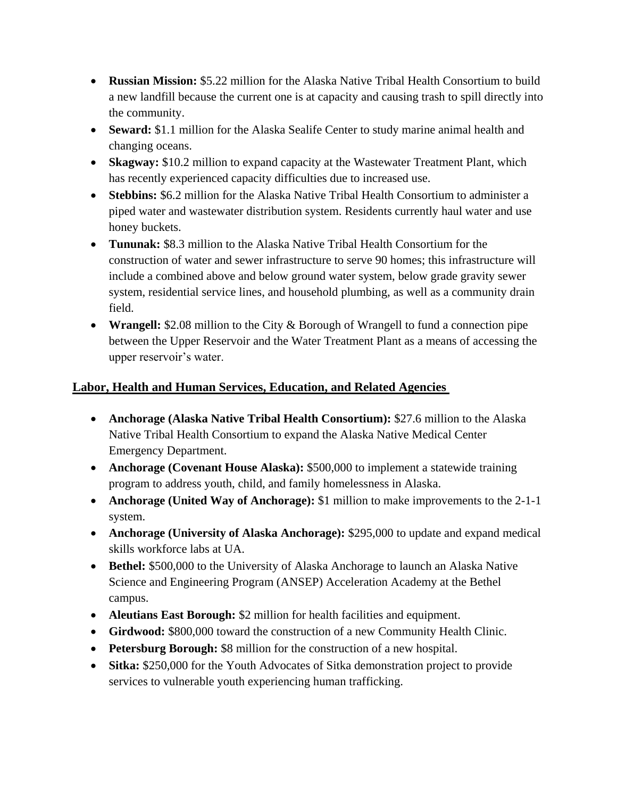- **Russian Mission:** \$5.22 million for the Alaska Native Tribal Health Consortium to build a new landfill because the current one is at capacity and causing trash to spill directly into the community.
- **Seward:** \$1.1 million for the Alaska Sealife Center to study marine animal health and changing oceans.
- **Skagway:** \$10.2 million to expand capacity at the Wastewater Treatment Plant, which has recently experienced capacity difficulties due to increased use.
- **Stebbins:** \$6.2 million for the Alaska Native Tribal Health Consortium to administer a piped water and wastewater distribution system. Residents currently haul water and use honey buckets.
- **Tununak:** \$8.3 million to the Alaska Native Tribal Health Consortium for the construction of water and sewer infrastructure to serve 90 homes; this infrastructure will include a combined above and below ground water system, below grade gravity sewer system, residential service lines, and household plumbing, as well as a community drain field.
- **Wrangell:** \$2.08 million to the City & Borough of Wrangell to fund a connection pipe between the Upper Reservoir and the Water Treatment Plant as a means of accessing the upper reservoir's water.

## **Labor, Health and Human Services, Education, and Related Agencies**

- **Anchorage (Alaska Native Tribal Health Consortium):** \$27.6 million to the Alaska Native Tribal Health Consortium to expand the Alaska Native Medical Center Emergency Department.
- **Anchorage (Covenant House Alaska):** \$500,000 to implement a statewide training program to address youth, child, and family homelessness in Alaska.
- **Anchorage (United Way of Anchorage):** \$1 million to make improvements to the 2-1-1 system.
- **Anchorage (University of Alaska Anchorage):** \$295,000 to update and expand medical skills workforce labs at UA.
- **Bethel:** \$500,000 to the University of Alaska Anchorage to launch an Alaska Native Science and Engineering Program (ANSEP) Acceleration Academy at the Bethel campus.
- **Aleutians East Borough:** \$2 million for health facilities and equipment.
- **Girdwood:** \$800,000 toward the construction of a new Community Health Clinic.
- **Petersburg Borough:** \$8 million for the construction of a new hospital.
- **Sitka:** \$250,000 for the Youth Advocates of Sitka demonstration project to provide services to vulnerable youth experiencing human trafficking.